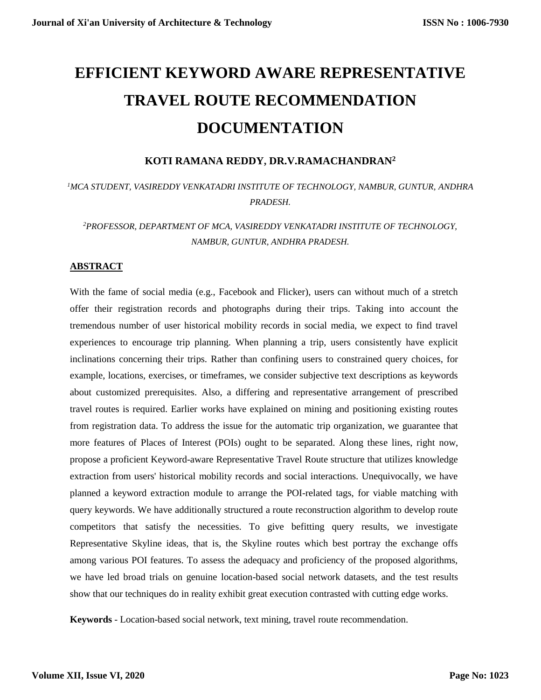# **EFFICIENT KEYWORD AWARE REPRESENTATIVE TRAVEL ROUTE RECOMMENDATION DOCUMENTATION**

#### **KOTI RAMANA REDDY, DR.V.RAMACHANDRAN<sup>2</sup>**

# *<sup>1</sup>MCA STUDENT, VASIREDDY VENKATADRI INSTITUTE OF TECHNOLOGY, NAMBUR, GUNTUR, ANDHRA PRADESH.*

## *<sup>2</sup>PROFESSOR, DEPARTMENT OF MCA, VASIREDDY VENKATADRI INSTITUTE OF TECHNOLOGY, NAMBUR, GUNTUR, ANDHRA PRADESH.*

#### **ABSTRACT**

With the fame of social media (e.g., Facebook and Flicker), users can without much of a stretch offer their registration records and photographs during their trips. Taking into account the tremendous number of user historical mobility records in social media, we expect to find travel experiences to encourage trip planning. When planning a trip, users consistently have explicit inclinations concerning their trips. Rather than confining users to constrained query choices, for example, locations, exercises, or timeframes, we consider subjective text descriptions as keywords about customized prerequisites. Also, a differing and representative arrangement of prescribed travel routes is required. Earlier works have explained on mining and positioning existing routes from registration data. To address the issue for the automatic trip organization, we guarantee that more features of Places of Interest (POIs) ought to be separated. Along these lines, right now, propose a proficient Keyword-aware Representative Travel Route structure that utilizes knowledge extraction from users' historical mobility records and social interactions. Unequivocally, we have planned a keyword extraction module to arrange the POI-related tags, for viable matching with query keywords. We have additionally structured a route reconstruction algorithm to develop route competitors that satisfy the necessities. To give befitting query results, we investigate Representative Skyline ideas, that is, the Skyline routes which best portray the exchange offs among various POI features. To assess the adequacy and proficiency of the proposed algorithms, we have led broad trials on genuine location-based social network datasets, and the test results show that our techniques do in reality exhibit great execution contrasted with cutting edge works.

**Keywords** - Location-based social network, text mining, travel route recommendation.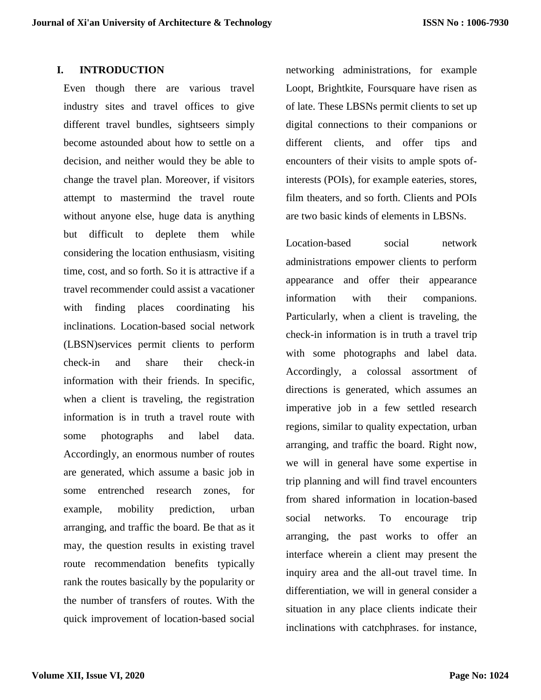#### **I. INTRODUCTION**

Even though there are various travel industry sites and travel offices to give different travel bundles, sightseers simply become astounded about how to settle on a decision, and neither would they be able to change the travel plan. Moreover, if visitors attempt to mastermind the travel route without anyone else, huge data is anything but difficult to deplete them while considering the location enthusiasm, visiting time, cost, and so forth. So it is attractive if a travel recommender could assist a vacationer with finding places coordinating his inclinations. Location-based social network (LBSN)services permit clients to perform check-in and share their check-in information with their friends. In specific, when a client is traveling, the registration information is in truth a travel route with some photographs and label data. Accordingly, an enormous number of routes are generated, which assume a basic job in some entrenched research zones, for example, mobility prediction, urban arranging, and traffic the board. Be that as it may, the question results in existing travel route recommendation benefits typically rank the routes basically by the popularity or the number of transfers of routes. With the quick improvement of location-based social networking administrations, for example Loopt, Brightkite, Foursquare have risen as of late. These LBSNs permit clients to set up digital connections to their companions or different clients, and offer tips and encounters of their visits to ample spots ofinterests (POIs), for example eateries, stores, film theaters, and so forth. Clients and POIs are two basic kinds of elements in LBSNs.

Location-based social network administrations empower clients to perform appearance and offer their appearance information with their companions. Particularly, when a client is traveling, the check-in information is in truth a travel trip with some photographs and label data. Accordingly, a colossal assortment of directions is generated, which assumes an imperative job in a few settled research regions, similar to quality expectation, urban arranging, and traffic the board. Right now, we will in general have some expertise in trip planning and will find travel encounters from shared information in location-based social networks. To encourage trip arranging, the past works to offer an interface wherein a client may present the inquiry area and the all-out travel time. In differentiation, we will in general consider a situation in any place clients indicate their inclinations with catchphrases. for instance,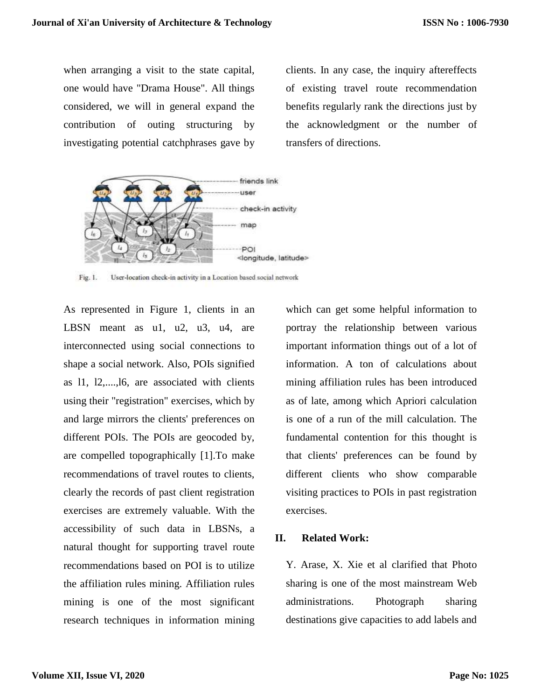when arranging a visit to the state capital, one would have "Drama House". All things considered, we will in general expand the contribution of outing structuring by investigating potential catchphrases gave by clients. In any case, the inquiry aftereffects of existing travel route recommendation benefits regularly rank the directions just by the acknowledgment or the number of transfers of directions.



Fig. 1. User-location check-in activity in a Location based social network

As represented in Figure 1, clients in an LBSN meant as u1, u2, u3, u4, are interconnected using social connections to shape a social network. Also, POIs signified as l1, l2,....,l6, are associated with clients using their "registration" exercises, which by and large mirrors the clients' preferences on different POIs. The POIs are geocoded by, are compelled topographically [1].To make recommendations of travel routes to clients, clearly the records of past client registration exercises are extremely valuable. With the accessibility of such data in LBSNs, a natural thought for supporting travel route recommendations based on POI is to utilize the affiliation rules mining. Affiliation rules mining is one of the most significant research techniques in information mining

which can get some helpful information to portray the relationship between various important information things out of a lot of information. A ton of calculations about mining affiliation rules has been introduced as of late, among which Apriori calculation is one of a run of the mill calculation. The fundamental contention for this thought is that clients' preferences can be found by different clients who show comparable visiting practices to POIs in past registration exercises.

#### **II. Related Work:**

Y. Arase, X. Xie et al clarified that Photo sharing is one of the most mainstream Web administrations. Photograph sharing destinations give capacities to add labels and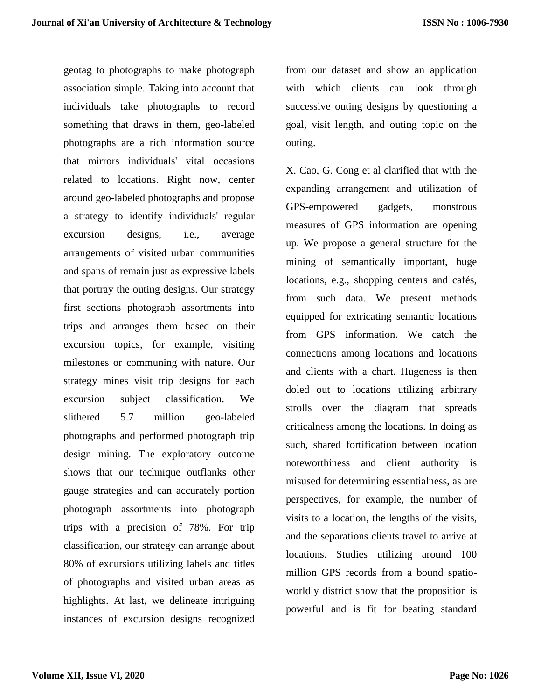geotag to photographs to make photograph association simple. Taking into account that individuals take photographs to record something that draws in them, geo-labeled photographs are a rich information source that mirrors individuals' vital occasions related to locations. Right now, center around geo-labeled photographs and propose a strategy to identify individuals' regular excursion designs, i.e., average arrangements of visited urban communities and spans of remain just as expressive labels that portray the outing designs. Our strategy first sections photograph assortments into trips and arranges them based on their excursion topics, for example, visiting milestones or communing with nature. Our strategy mines visit trip designs for each excursion subject classification. We slithered 5.7 million geo-labeled photographs and performed photograph trip design mining. The exploratory outcome shows that our technique outflanks other gauge strategies and can accurately portion photograph assortments into photograph trips with a precision of 78%. For trip classification, our strategy can arrange about 80% of excursions utilizing labels and titles of photographs and visited urban areas as highlights. At last, we delineate intriguing instances of excursion designs recognized

from our dataset and show an application with which clients can look through successive outing designs by questioning a goal, visit length, and outing topic on the outing.

X. Cao, G. Cong et al clarified that with the expanding arrangement and utilization of GPS-empowered gadgets, monstrous measures of GPS information are opening up. We propose a general structure for the mining of semantically important, huge locations, e.g., shopping centers and cafés, from such data. We present methods equipped for extricating semantic locations from GPS information. We catch the connections among locations and locations and clients with a chart. Hugeness is then doled out to locations utilizing arbitrary strolls over the diagram that spreads criticalness among the locations. In doing as such, shared fortification between location noteworthiness and client authority is misused for determining essentialness, as are perspectives, for example, the number of visits to a location, the lengths of the visits, and the separations clients travel to arrive at locations. Studies utilizing around 100 million GPS records from a bound spatioworldly district show that the proposition is powerful and is fit for beating standard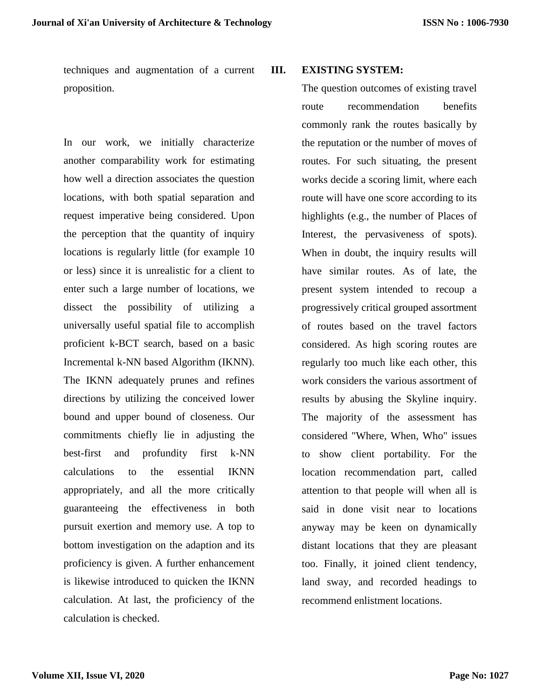techniques and augmentation of a current proposition.

In our work, we initially characterize another comparability work for estimating how well a direction associates the question locations, with both spatial separation and request imperative being considered. Upon the perception that the quantity of inquiry locations is regularly little (for example 10 or less) since it is unrealistic for a client to enter such a large number of locations, we dissect the possibility of utilizing a universally useful spatial file to accomplish proficient k-BCT search, based on a basic Incremental k-NN based Algorithm (IKNN). The IKNN adequately prunes and refines directions by utilizing the conceived lower bound and upper bound of closeness. Our commitments chiefly lie in adjusting the best-first and profundity first k-NN calculations to the essential IKNN appropriately, and all the more critically guaranteeing the effectiveness in both pursuit exertion and memory use. A top to bottom investigation on the adaption and its proficiency is given. A further enhancement is likewise introduced to quicken the IKNN calculation. At last, the proficiency of the calculation is checked.

#### **III. EXISTING SYSTEM:**

The question outcomes of existing travel route recommendation benefits commonly rank the routes basically by the reputation or the number of moves of routes. For such situating, the present works decide a scoring limit, where each route will have one score according to its highlights (e.g., the number of Places of Interest, the pervasiveness of spots). When in doubt, the inquiry results will have similar routes. As of late, the present system intended to recoup a progressively critical grouped assortment of routes based on the travel factors considered. As high scoring routes are regularly too much like each other, this work considers the various assortment of results by abusing the Skyline inquiry. The majority of the assessment has considered "Where, When, Who" issues to show client portability. For the location recommendation part, called attention to that people will when all is said in done visit near to locations anyway may be keen on dynamically distant locations that they are pleasant too. Finally, it joined client tendency, land sway, and recorded headings to recommend enlistment locations.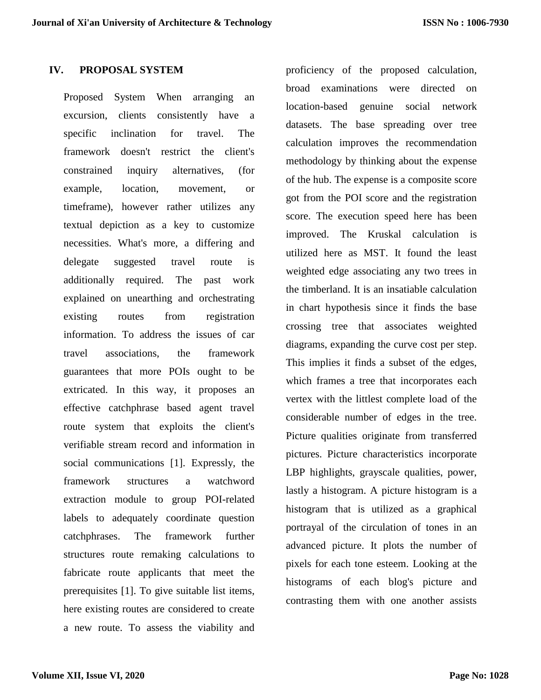#### **IV. PROPOSAL SYSTEM**

Proposed System When arranging an excursion, clients consistently have a specific inclination for travel. The framework doesn't restrict the client's constrained inquiry alternatives, (for example, location, movement, or timeframe), however rather utilizes any textual depiction as a key to customize necessities. What's more, a differing and delegate suggested travel route is additionally required. The past work explained on unearthing and orchestrating existing routes from registration information. To address the issues of car travel associations, the framework guarantees that more POIs ought to be extricated. In this way, it proposes an effective catchphrase based agent travel route system that exploits the client's verifiable stream record and information in social communications [1]. Expressly, the framework structures a watchword extraction module to group POI-related labels to adequately coordinate question catchphrases. The framework further structures route remaking calculations to fabricate route applicants that meet the prerequisites [1]. To give suitable list items, here existing routes are considered to create a new route. To assess the viability and

proficiency of the proposed calculation, broad examinations were directed on location-based genuine social network datasets. The base spreading over tree calculation improves the recommendation methodology by thinking about the expense of the hub. The expense is a composite score got from the POI score and the registration score. The execution speed here has been improved. The Kruskal calculation is utilized here as MST. It found the least weighted edge associating any two trees in the timberland. It is an insatiable calculation in chart hypothesis since it finds the base crossing tree that associates weighted diagrams, expanding the curve cost per step. This implies it finds a subset of the edges, which frames a tree that incorporates each vertex with the littlest complete load of the considerable number of edges in the tree. Picture qualities originate from transferred pictures. Picture characteristics incorporate LBP highlights, grayscale qualities, power, lastly a histogram. A picture histogram is a histogram that is utilized as a graphical portrayal of the circulation of tones in an advanced picture. It plots the number of pixels for each tone esteem. Looking at the histograms of each blog's picture and contrasting them with one another assists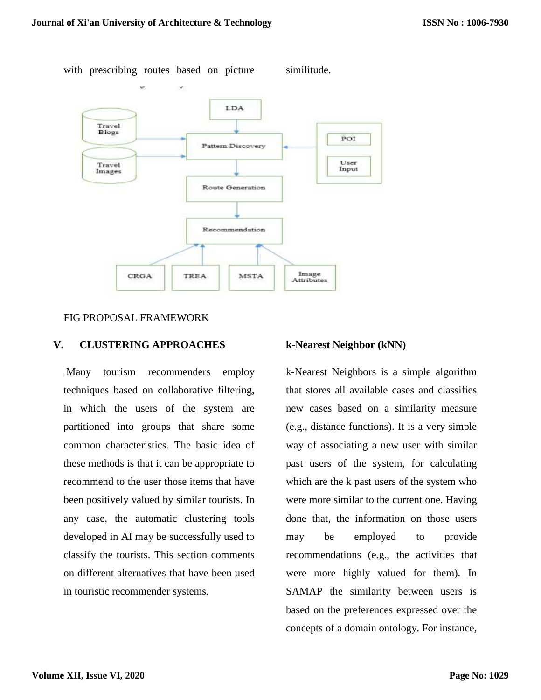

with prescribing routes based on picture similitude.

#### FIG PROPOSAL FRAMEWORK

#### **V. CLUSTERING APPROACHES**

Many tourism recommenders employ techniques based on collaborative filtering, in which the users of the system are partitioned into groups that share some common characteristics. The basic idea of these methods is that it can be appropriate to recommend to the user those items that have been positively valued by similar tourists. In any case, the automatic clustering tools developed in AI may be successfully used to classify the tourists. This section comments on different alternatives that have been used in touristic recommender systems.

#### **k-Nearest Neighbor (kNN)**

k-Nearest Neighbors is a simple algorithm that stores all available cases and classifies new cases based on a similarity measure (e.g., distance functions). It is a very simple way of associating a new user with similar past users of the system, for calculating which are the k past users of the system who were more similar to the current one. Having done that, the information on those users may be employed to provide recommendations (e.g., the activities that were more highly valued for them). In SAMAP the similarity between users is based on the preferences expressed over the concepts of a domain ontology. For instance,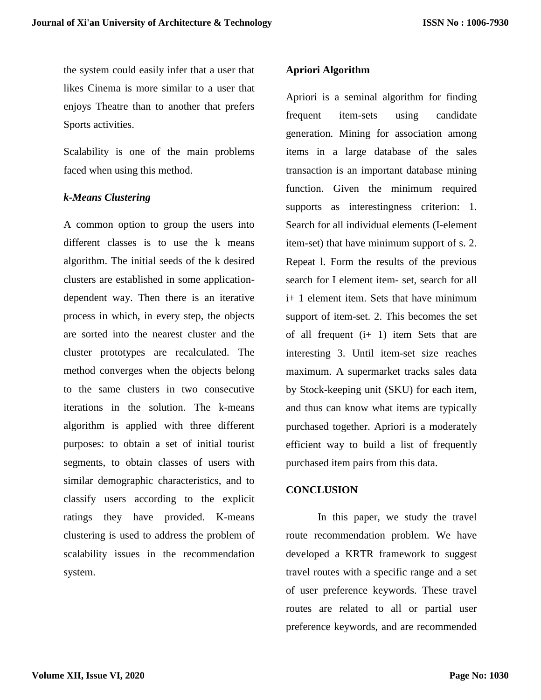the system could easily infer that a user that likes Cinema is more similar to a user that enjoys Theatre than to another that prefers Sports activities.

Scalability is one of the main problems faced when using this method.

#### *k-Means Clustering*

A common option to group the users into different classes is to use the k means algorithm. The initial seeds of the k desired clusters are established in some applicationdependent way. Then there is an iterative process in which, in every step, the objects are sorted into the nearest cluster and the cluster prototypes are recalculated. The method converges when the objects belong to the same clusters in two consecutive iterations in the solution. The k-means algorithm is applied with three different purposes: to obtain a set of initial tourist segments, to obtain classes of users with similar demographic characteristics, and to classify users according to the explicit ratings they have provided. K-means clustering is used to address the problem of scalability issues in the recommendation system.

## **Apriori Algorithm**

Apriori is a seminal algorithm for finding frequent item-sets using candidate generation. Mining for association among items in a large database of the sales transaction is an important database mining function. Given the minimum required supports as interestingness criterion: 1. Search for all individual elements (I-element item-set) that have minimum support of s. 2. Repeat l. Form the results of the previous search for I element item- set, search for all i+ 1 element item. Sets that have minimum support of item-set. 2. This becomes the set of all frequent  $(i+ 1)$  item Sets that are interesting 3. Until item-set size reaches maximum. A supermarket tracks sales data by Stock-keeping unit (SKU) for each item, and thus can know what items are typically purchased together. Apriori is a moderately efficient way to build a list of frequently purchased item pairs from this data.

#### **CONCLUSION**

In this paper, we study the travel route recommendation problem. We have developed a KRTR framework to suggest travel routes with a specific range and a set of user preference keywords. These travel routes are related to all or partial user preference keywords, and are recommended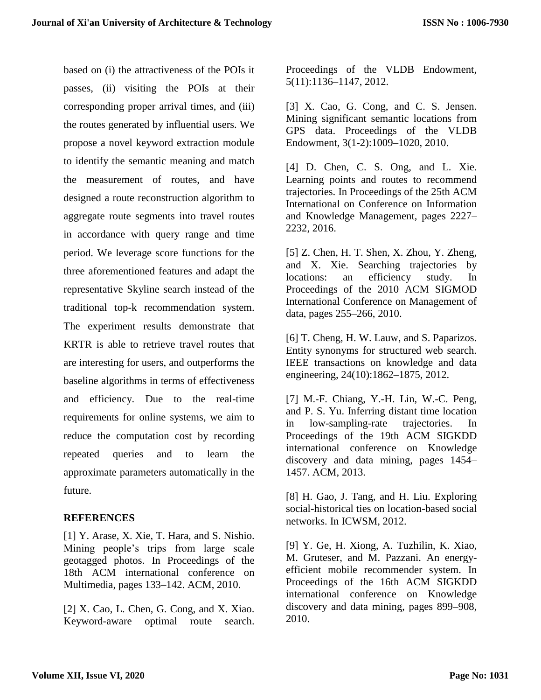based on (i) the attractiveness of the POIs it passes, (ii) visiting the POIs at their corresponding proper arrival times, and (iii) the routes generated by influential users. We propose a novel keyword extraction module to identify the semantic meaning and match the measurement of routes, and have designed a route reconstruction algorithm to aggregate route segments into travel routes in accordance with query range and time period. We leverage score functions for the three aforementioned features and adapt the representative Skyline search instead of the traditional top-k recommendation system. The experiment results demonstrate that KRTR is able to retrieve travel routes that are interesting for users, and outperforms the baseline algorithms in terms of effectiveness and efficiency. Due to the real-time requirements for online systems, we aim to reduce the computation cost by recording repeated queries and to learn the approximate parameters automatically in the future.

## **REFERENCES**

[1] Y. Arase, X. Xie, T. Hara, and S. Nishio. Mining people's trips from large scale geotagged photos. In Proceedings of the 18th ACM international conference on Multimedia, pages 133–142. ACM, 2010.

[2] X. Cao, L. Chen, G. Cong, and X. Xiao. Keyword-aware optimal route search. Proceedings of the VLDB Endowment, 5(11):1136–1147, 2012.

[3] X. Cao, G. Cong, and C. S. Jensen. Mining significant semantic locations from GPS data. Proceedings of the VLDB Endowment, 3(1-2):1009–1020, 2010.

[4] D. Chen, C. S. Ong, and L. Xie. Learning points and routes to recommend trajectories. In Proceedings of the 25th ACM International on Conference on Information and Knowledge Management, pages 2227– 2232, 2016.

[5] Z. Chen, H. T. Shen, X. Zhou, Y. Zheng, and X. Xie. Searching trajectories by locations: an efficiency study. In Proceedings of the 2010 ACM SIGMOD International Conference on Management of data, pages 255–266, 2010.

[6] T. Cheng, H. W. Lauw, and S. Paparizos. Entity synonyms for structured web search. IEEE transactions on knowledge and data engineering, 24(10):1862–1875, 2012.

[7] M.-F. Chiang, Y.-H. Lin, W.-C. Peng, and P. S. Yu. Inferring distant time location in low-sampling-rate trajectories. In Proceedings of the 19th ACM SIGKDD international conference on Knowledge discovery and data mining, pages 1454– 1457. ACM, 2013.

[8] H. Gao, J. Tang, and H. Liu. Exploring social-historical ties on location-based social networks. In ICWSM, 2012.

[9] Y. Ge, H. Xiong, A. Tuzhilin, K. Xiao, M. Gruteser, and M. Pazzani. An energyefficient mobile recommender system. In Proceedings of the 16th ACM SIGKDD international conference on Knowledge discovery and data mining, pages 899–908, 2010.